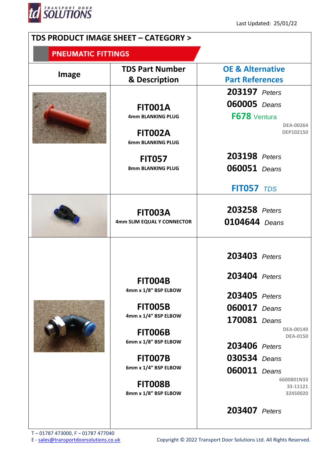

|                           | TDS PRODUCT IMAGE SHEET - CATEGORY >                                                                                                                                                                           |                                                                                                                                                                                                                                                                          |
|---------------------------|----------------------------------------------------------------------------------------------------------------------------------------------------------------------------------------------------------------|--------------------------------------------------------------------------------------------------------------------------------------------------------------------------------------------------------------------------------------------------------------------------|
| <b>PNEUMATIC FITTINGS</b> |                                                                                                                                                                                                                |                                                                                                                                                                                                                                                                          |
| <b>Image</b>              | <b>TDS Part Number</b><br>& Description                                                                                                                                                                        | <b>OE &amp; Alternative</b><br><b>Part References</b>                                                                                                                                                                                                                    |
|                           | <b>FIT001A</b><br>4mm BLANKING PLUG<br><b>FIT002A</b><br><b>6mm BLANKING PLUG</b><br><b>FIT057</b><br>8mm BLANKING PLUG                                                                                        | <b>203197</b> Peters<br><b>060005</b> Deans<br>F678 Ventura<br><b>DEA-00264</b><br><b>DEP102150</b><br><b>203198</b> Peters<br><b>060051</b> Deans<br><b>FIT057</b> TDS                                                                                                  |
|                           | <b>FIT003A</b><br>4mm SLIM EQUAL Y CONNECTOR                                                                                                                                                                   | <b>203258</b> Peters<br>0104644 Deans                                                                                                                                                                                                                                    |
|                           | <b>FIT004B</b><br>4mm x 1/8" BSP ELBOW<br><b>FIT005B</b><br>4mm x 1/4" BSP ELBOW<br><b>FIT006B</b><br>6mm x 1/8" BSP ELBOW<br><b>FIT007B</b><br>6mm x 1/4" BSP ELBOW<br><b>FIT008B</b><br>8mm x 1/8" BSP ELBOW | <b>203403</b> Peters<br>203404 Peters<br><b>203405</b> Peters<br><b>060017</b> Deans<br>170081 Deans<br><b>DEA-00149</b><br><b>DEA-0150</b><br>203406 Peters<br><b>030534</b> Deans<br><b>060011</b> Deans<br>6600801N33<br>33-11121<br>32450020<br><b>203407</b> Peters |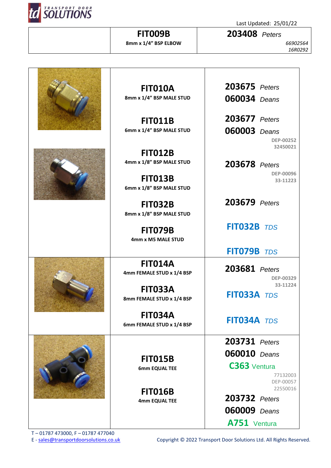

**203408** *Peters*

*66902564 16R0292*

|  | <b>FIT010A</b>                  | 203675 Peters                |
|--|---------------------------------|------------------------------|
|  | 8mm x 1/4" BSP MALE STUD        | <b>060034</b> Deans          |
|  |                                 |                              |
|  | <b>FIT011B</b>                  | <b>203677</b> Peters         |
|  | 6mm x 1/4" BSP MALE STUD        | <b>060003</b> Deans          |
|  |                                 | <b>DEP-00252</b><br>32450021 |
|  | <b>FIT012B</b>                  |                              |
|  | 4mm x 1/8" BSP MALE STUD        | 203678 Peters                |
|  | <b>FIT013B</b>                  | <b>DEP-00096</b><br>33-11223 |
|  | 6mm x 1/8" BSP MALE STUD        |                              |
|  | <b>FIT032B</b>                  | 203679 Peters                |
|  | 8mm x 1/8" BSP MALE STUD        |                              |
|  | <b>FIT079B</b>                  | FIT032B TDS                  |
|  | 4mm x M5 MALE STUD              |                              |
|  |                                 | FIT079B TDS                  |
|  | <b>FIT014A</b>                  | 203681 Peters                |
|  | 4mm FEMALE STUD x 1/4 BSP       | DEP-00329                    |
|  | <b>FIT033A</b>                  | 33-11224                     |
|  | 8mm FEMALE STUD x 1/4 BSP       | FIT033A TDS                  |
|  | <b>FIT034A</b>                  |                              |
|  | 6mm FEMALE STUD x 1/4 BSP       | FIT034A TDS                  |
|  |                                 | <b>203731</b> Peters         |
|  |                                 | <b>060010</b> Deans          |
|  | <b>FIT015B</b>                  |                              |
|  | 6mm EQUAL TEE                   | C363 Ventura<br>77132003     |
|  |                                 | DEP-00057<br>22550016        |
|  | <b>FIT016B</b><br>4mm EQUAL TEE | <b>203732</b> Peters         |
|  |                                 | <b>060009</b> Deans          |
|  |                                 | A751 Ventura                 |
|  |                                 |                              |

**FIT009B 8mm x 1/4" BSP ELBOW**

T – 01787 473000, F – 01787 477040

E - [sales@transportdoorsolutions.co.uk](mailto:sales@transportdoorsolutions.co.uk) Copyright © 2022 Transport Door Solutions Ltd. All Rights Reserved.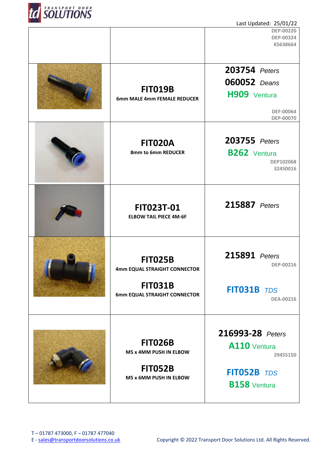

| Last Updated: 25/01/22 |                                                    |                              |  |
|------------------------|----------------------------------------------------|------------------------------|--|
|                        |                                                    | <b>DEP-00220</b>             |  |
|                        |                                                    | <b>DEP-00324</b><br>X5638664 |  |
|                        |                                                    |                              |  |
|                        |                                                    |                              |  |
|                        |                                                    | 203754 Peters                |  |
|                        |                                                    | <b>060052</b> Deans          |  |
|                        | <b>FIT019B</b>                                     | H909 Ventura                 |  |
|                        | 6mm MALE 4mm FEMALE REDUCER                        |                              |  |
|                        |                                                    | <b>DEF-00064</b>             |  |
|                        |                                                    | DEP-00070                    |  |
|                        |                                                    |                              |  |
|                        | <b>FIT020A</b>                                     | 203755 Peters                |  |
|                        | 8mm to 6mm REDUCER                                 | <b>B262</b> Ventura          |  |
|                        |                                                    | DEP102068                    |  |
|                        |                                                    | 32450016                     |  |
|                        |                                                    |                              |  |
|                        |                                                    |                              |  |
|                        |                                                    | 215887 Peters                |  |
|                        | <b>FIT023T-01</b><br><b>ELBOW TAIL PIECE 4M-6F</b> |                              |  |
|                        |                                                    |                              |  |
|                        |                                                    |                              |  |
|                        |                                                    |                              |  |
|                        |                                                    | 215891 Peters                |  |
|                        | <b>FIT025B</b>                                     | DEP-00216                    |  |
|                        | 4mm EQUAL STRAIGHT CONNECTOR                       |                              |  |
|                        | <b>FIT031B</b>                                     |                              |  |
|                        | 6mm EQUAL STRAIGHT CONNECTOR                       | FIT031B TDS                  |  |
|                        |                                                    | DEA-00216                    |  |
|                        |                                                    |                              |  |
|                        |                                                    |                              |  |
|                        |                                                    | 216993-28 Peters             |  |
|                        | <b>FIT026B</b>                                     | A110 Ventura                 |  |
|                        | M5 x 4MM PUSH IN ELBOW                             | 29455150                     |  |
|                        | <b>FIT052B</b>                                     |                              |  |
|                        | M5 x 6MM PUSH IN ELBOW                             | FIT052B TDS                  |  |
|                        |                                                    | <b>B158</b> Ventura          |  |
|                        |                                                    |                              |  |
|                        |                                                    |                              |  |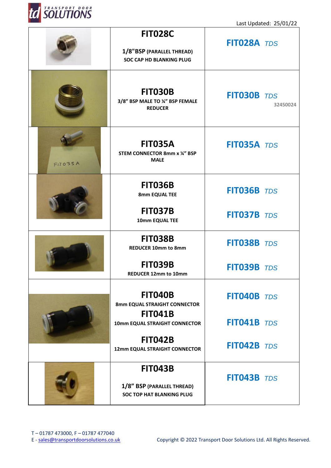

T

Last Updated: 25/01/22

Т

|            | <b>FIT028C</b><br>1/8"BSP (PARALLEL THREAD)<br><b>SOC CAP HD BLANKING PLUG</b> | FIT028A TDS        |          |
|------------|--------------------------------------------------------------------------------|--------------------|----------|
|            | <b>FIT030B</b><br>3/8" BSP MALE TO ¼" BSP FEMALE<br><b>REDUCER</b>             | <b>FIT030B</b> TDS | 32450024 |
| $FID$ 035A | <b>FIT035A</b><br><b>STEM CONNECTOR 8mm x 1/4" BSP</b><br><b>MALE</b>          | FIT035A TDS        |          |
|            | <b>FIT036B</b><br>8mm EQUAL TEE                                                | FIT036B TDS        |          |
|            | <b>FIT037B</b><br>10mm EQUAL TEE                                               | FIT037B TDS        |          |
|            | <b>FIT038B</b><br><b>REDUCER 10mm to 8mm</b>                                   | <b>FIT038B</b> TDS |          |
|            | <b>FIT039B</b><br>REDUCER 12mm to 10mm                                         | FIT039B TDS        |          |
|            | <b>FIT040B</b><br>8mm EQUAL STRAIGHT CONNECTOR<br><b>FIT041B</b>               | FIT040B TDS        |          |
|            | 10mm EQUAL STRAIGHT CONNECTOR                                                  | FIT041B TDS        |          |
|            | <b>FIT042B</b><br>12mm EQUAL STRAIGHT CONNECTOR                                | FIT042B TDS        |          |
|            | <b>FIT043B</b>                                                                 | FIT043B TDS        |          |
|            | 1/8" BSP (PARALLEL THREAD)<br><b>SOC TOP HAT BLANKING PLUG</b>                 |                    |          |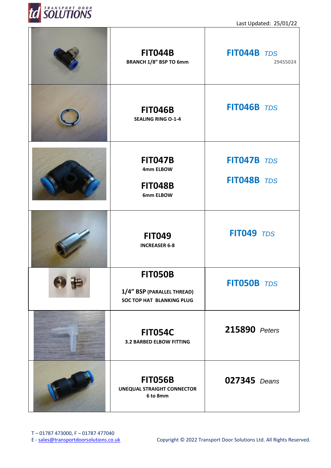

| <b>FIT044B</b><br><b>BRANCH 1/8" BSP TO 6mm</b>                                  | FIT044B TDS<br>29455024    |
|----------------------------------------------------------------------------------|----------------------------|
| <b>FIT046B</b><br><b>SEALING RING O-1-4</b>                                      | FIT046B TDS                |
| <b>FIT047B</b><br>4mm ELBOW<br><b>FIT048B</b><br>6mm ELBOW                       | FIT047B TDS<br>FIT048B TDS |
| <b>FIT049</b><br><b>INCREASER 6-8</b>                                            | <b>FIT049 TDS</b>          |
| <b>FIT050B</b><br>1/4" BSP (PARALLEL THREAD)<br><b>SOC TOP HAT BLANKING PLUG</b> | FIT050B TDS                |
| <b>FIT054C</b><br><b>3.2 BARBED ELBOW FITTING</b>                                | 215890 Peters              |
| <b>FIT056B</b><br><b>UNEQUAL STRAIGHT CONNECTOR</b><br>6 to 8mm                  | <b>027345</b> Deans        |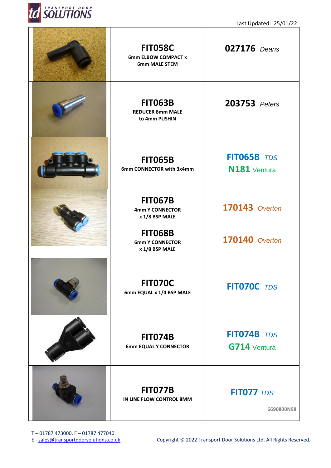

| <b>FIT058C</b><br>6mm ELBOW COMPACT x<br><b>6mm MALE STEM</b>                                                            | <b>027176</b> Deans              |
|--------------------------------------------------------------------------------------------------------------------------|----------------------------------|
| <b>FIT063B</b><br><b>REDUCER 8mm MALE</b><br>to 4mm PUSHIN                                                               | 203753 Peters                    |
| <b>FIT065B</b><br>6mm CONNECTOR with 3x4mm                                                                               | FIT065B TDS<br>N181 Ventura      |
| <b>FIT067B</b><br><b>4mm Y CONNECTOR</b><br>x 1/8 BSP MALE<br><b>FIT068B</b><br><b>6mm Y CONNECTOR</b><br>x 1/8 BSP MALE | 170143 Overton<br>170140 Overton |
| <b>FIT070C</b><br>6mm EQUAL x 1/4 BSP MALE                                                                               | FIT070C TDS                      |
| <b>FIT074B</b><br><b>6mm EQUAL Y CONNECTOR</b>                                                                           | FIT074B TDS<br>G714 Ventura      |
| <b>FIT077B</b><br>IN LINE FLOW CONTROL 8MM                                                                               | <b>FIT077 TDS</b><br>6690800N98  |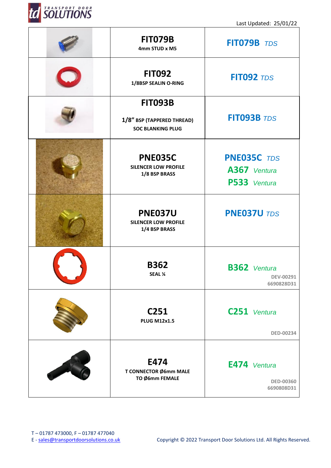

| <b>FIT079B</b><br>4mm STUD x M5                                          | FIT079B TDS                                           |  |
|--------------------------------------------------------------------------|-------------------------------------------------------|--|
| <b>FIT092</b><br>1/8BSP SEALIN O-RING                                    | <b>FIT092 TDS</b>                                     |  |
| <b>FIT093B</b><br>1/8" BSP (TAPPERED THREAD)<br><b>SOC BLANKING PLUG</b> | FIT093B TDS                                           |  |
| <b>PNE035C</b><br><b>SILENCER LOW PROFILE</b><br>1/8 BSP BRASS           | <b>PNE035C</b> TDS<br>A367 Ventura<br>P533 Ventura    |  |
| <b>PNE037U</b><br><b>SILENCER LOW PROFILE</b><br>1/4 BSP BRASS           | <b>PNE037U TDS</b>                                    |  |
| <b>B362</b><br>SEAL 1/4                                                  | <b>B362</b> Ventura<br><b>DEV-00291</b><br>6690828D31 |  |
| C <sub>251</sub><br><b>PLUG M12x1.5</b>                                  | C251 Ventura<br><b>DED-00234</b>                      |  |
| E474<br>T CONNECTOR Ø6mm MALE<br>TO Ø6mm FEMALE                          | E474 Ventura<br><b>DED-00360</b><br>6690808D31        |  |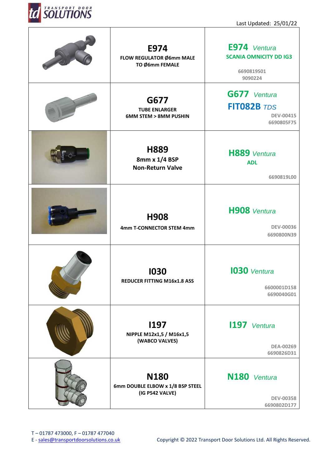

 $\overline{\phantom{a}}$ 

Last Updated: 25/01/22

| E974<br>FLOW REGULATOR Ø6mm MALE<br>TO Ø6mm FEMALE                 | E974 Ventura<br><b>SCANIA OMNICITY DD IG3</b><br>6690819S01<br>9090224 |
|--------------------------------------------------------------------|------------------------------------------------------------------------|
| G677<br><b>TUBE ENLARGER</b><br><b>6MM STEM &gt; 8MM PUSHIN</b>    | G677 Ventura<br>FIT082B TDS<br>DEV-00415<br>6690805F75                 |
| H889<br>8mm x 1/4 BSP<br><b>Non-Return Valve</b>                   | H889 Ventura<br><b>ADL</b><br>6690819L00                               |
| H908<br>4mm T-CONNECTOR STEM 4mm                                   | H908 Ventura<br><b>DEV-00036</b><br>6690800N39                         |
| 1030<br><b>REDUCER FITTING M16x1.8 ASS</b>                         | <b>1030</b> Ventura<br>6600001D158<br>6690040G01                       |
| <b>I197</b><br>NIPPLE M12x1,5 / M16x1,5<br>(WABCO VALVES)          | 1197 Ventura<br><b>DEA-00269</b><br>6690826D31                         |
| <b>N180</b><br>6mm DOUBLE ELBOW x 1/8 BSP STEEL<br>(IG P542 VALVE) | N180 Ventura<br><b>DEV-00358</b><br>6690802D177                        |